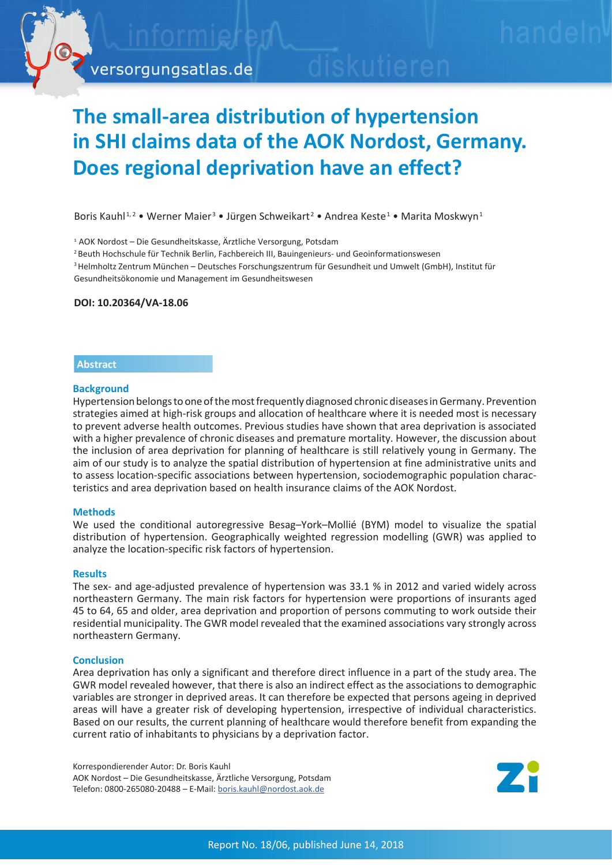

# **The small-area distribution of hypertension in SHI claims data of the AOK Nordost, Germany. Does regional deprivation have an effect?**

Boris Kauhl<sup>1,2</sup> • Werner Maier<sup>3</sup> • Jürgen Schweikart<sup>2</sup> • Andrea Keste<sup>1</sup> • Marita Moskwyn<sup>1</sup>

1 AOK Nordost – Die Gesundheitskasse, Ärztliche Versorgung, Potsdam

2 Beuth Hochschule für Technik Berlin, Fachbereich III, Bauingenieurs- und Geoinformationswesen

3 Helmholtz Zentrum München – Deutsches Forschungszentrum für Gesundheit und Umwelt (GmbH), Institut für Gesundheitsökonomie und Management im Gesundheitswesen

## **DOI: 10.20364/VA-18.06**

# **Abstract**

## **Background**

Hypertension belongs to one of the most frequently diagnosed chronic diseases in Germany. Prevention strategies aimed at high-risk groups and allocation of healthcare where it is needed most is necessary to prevent adverse health outcomes. Previous studies have shown that area deprivation is associated with a higher prevalence of chronic diseases and premature mortality. However, the discussion about the inclusion of area deprivation for planning of healthcare is still relatively young in Germany. The aim of our study is to analyze the spatial distribution of hypertension at fine administrative units and to assess location-specific associations between hypertension, sociodemographic population characteristics and area deprivation based on health insurance claims of the AOK Nordost.

## **Methods**

We used the conditional autoregressive Besag–York–Mollié (BYM) model to visualize the spatial distribution of hypertension. Geographically weighted regression modelling (GWR) was applied to analyze the location-specific risk factors of hypertension.

#### **Results**

The sex- and age-adjusted prevalence of hypertension was 33.1 % in 2012 and varied widely across northeastern Germany. The main risk factors for hypertension were proportions of insurants aged 45 to 64, 65 and older, area deprivation and proportion of persons commuting to work outside their residential municipality. The GWR model revealed that the examined associations vary strongly across northeastern Germany.

#### **Conclusion**

Area deprivation has only a significant and therefore direct influence in a part of the study area. The GWR model revealed however, that there is also an indirect effect as the associations to demographic variables are stronger in deprived areas. It can therefore be expected that persons ageing in deprived areas will have a greater risk of developing hypertension, irrespective of individual characteristics. Based on our results, the current planning of healthcare would therefore benefit from expanding the current ratio of inhabitants to physicians by a deprivation factor.

Korrespondierender Autor: Dr. Boris Kauhl AOK Nordost – Die Gesundheitskasse, Ärztliche Versorgung, Potsdam Telefon: 0800-265080-20488 – E-Mail: [boris.kauhl@nordost.aok.de](mailto:boris.kauhl%40nordost.aok.de?subject=VA-Bericht%2018-06%20Hypertonie)